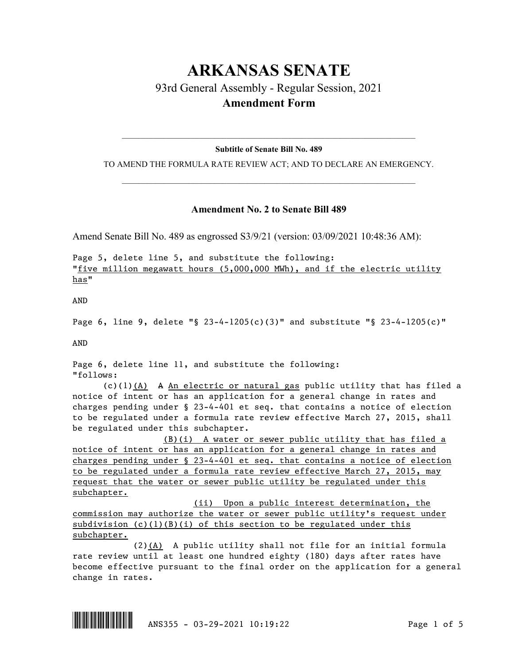# **ARKANSAS SENATE** 93rd General Assembly - Regular Session, 2021 **Amendment Form**

## $\_$  , and the set of the set of the set of the set of the set of the set of the set of the set of the set of the set of the set of the set of the set of the set of the set of the set of the set of the set of the set of th **Subtitle of Senate Bill No. 489**

TO AMEND THE FORMULA RATE REVIEW ACT; AND TO DECLARE AN EMERGENCY.  $\_$  , and the set of the set of the set of the set of the set of the set of the set of the set of the set of the set of the set of the set of the set of the set of the set of the set of the set of the set of the set of th

### **Amendment No. 2 to Senate Bill 489**

Amend Senate Bill No. 489 as engrossed S3/9/21 (version: 03/09/2021 10:48:36 AM):

Page 5, delete line 5, and substitute the following: "five million megawatt hours (5,000,000 MWh), and if the electric utility has"

AND

Page 6, line 9, delete "§ 23-4-1205(c)(3)" and substitute "§ 23-4-1205(c)"

AND

Page 6, delete line 11, and substitute the following: "follows:

(c)(1)(A) A An electric or natural gas public utility that has filed a notice of intent or has an application for a general change in rates and charges pending under § 23-4-401 et seq. that contains a notice of election to be regulated under a formula rate review effective March 27, 2015, shall be regulated under this subchapter.

(B)(i) A water or sewer public utility that has filed a notice of intent or has an application for a general change in rates and charges pending under § 23-4-401 et seq. that contains a notice of election to be regulated under a formula rate review effective March 27, 2015, may request that the water or sewer public utility be regulated under this subchapter.

(ii) Upon a public interest determination, the commission may authorize the water or sewer public utility's request under subdivision  $(c)(1)(B)(i)$  of this section to be regulated under this subchapter.

(2)(A) A public utility shall not file for an initial formula rate review until at least one hundred eighty (180) days after rates have become effective pursuant to the final order on the application for a general change in rates.

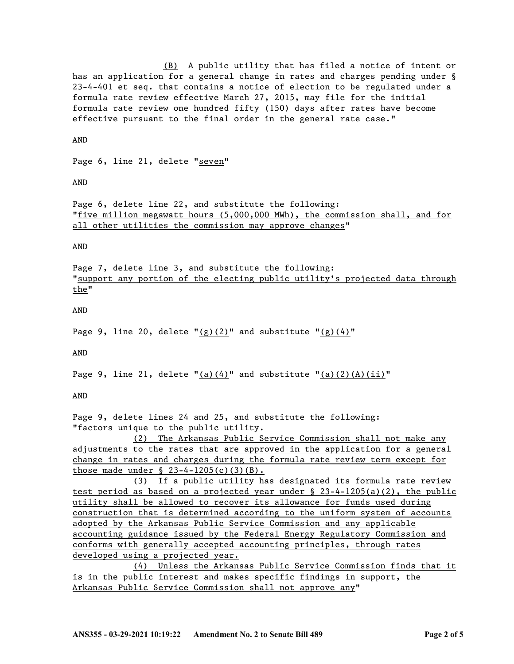(B) A public utility that has filed a notice of intent or has an application for a general change in rates and charges pending under § 23-4-401 et seq. that contains a notice of election to be regulated under a formula rate review effective March 27, 2015, may file for the initial formula rate review one hundred fifty (150) days after rates have become effective pursuant to the final order in the general rate case."

AND

Page 6, line 21, delete "seven"

AND

Page 6, delete line 22, and substitute the following: "five million megawatt hours (5,000,000 MWh), the commission shall, and for all other utilities the commission may approve changes"

AND

Page 7, delete line 3, and substitute the following: "support any portion of the electing public utility's projected data through the"

AND

Page 9, line 20, delete " $(g)(2)$ " and substitute " $(g)(4)$ "

AND

Page 9, line 21, delete  $"(\underline{a})(4)"$  and substitute  $"(\underline{a})(2)(\underline{A})(i\underline{i})"$ 

AND

Page 9, delete lines 24 and 25, and substitute the following: "factors unique to the public utility.

(2) The Arkansas Public Service Commission shall not make any adjustments to the rates that are approved in the application for a general change in rates and charges during the formula rate review term except for those made under  $\S$  23-4-1205(c)(3)(B).

(3) If a public utility has designated its formula rate review test period as based on a projected year under § 23-4-1205(a)(2), the public utility shall be allowed to recover its allowance for funds used during construction that is determined according to the uniform system of accounts adopted by the Arkansas Public Service Commission and any applicable accounting guidance issued by the Federal Energy Regulatory Commission and conforms with generally accepted accounting principles, through rates developed using a projected year.

(4) Unless the Arkansas Public Service Commission finds that it is in the public interest and makes specific findings in support, the Arkansas Public Service Commission shall not approve any"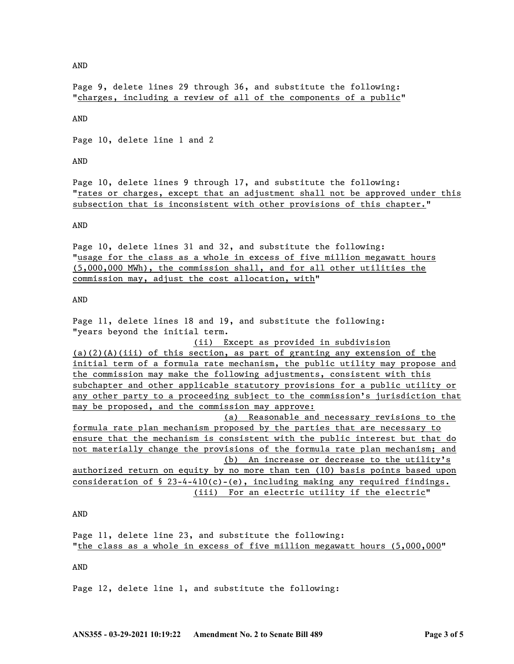AND

Page 9, delete lines 29 through 36, and substitute the following: "charges, including a review of all of the components of a public"

AND

Page 10, delete line 1 and 2

AND

Page 10, delete lines 9 through 17, and substitute the following: "rates or charges, except that an adjustment shall not be approved under this subsection that is inconsistent with other provisions of this chapter."

AND

Page 10, delete lines 31 and 32, and substitute the following: "usage for the class as a whole in excess of five million megawatt hours (5,000,000 MWh), the commission shall, and for all other utilities the commission may, adjust the cost allocation, with"

#### AND

Page 11, delete lines 18 and 19, and substitute the following: "years beyond the initial term.

(ii) Except as provided in subdivision

 $(a)(2)(A)(iii)$  of this section, as part of granting any extension of the initial term of a formula rate mechanism, the public utility may propose and the commission may make the following adjustments, consistent with this subchapter and other applicable statutory provisions for a public utility or any other party to a proceeding subject to the commission's jurisdiction that may be proposed, and the commission may approve:

(a) Reasonable and necessary revisions to the formula rate plan mechanism proposed by the parties that are necessary to ensure that the mechanism is consistent with the public interest but that do not materially change the provisions of the formula rate plan mechanism; and (b) An increase or decrease to the utility's authorized return on equity by no more than ten (10) basis points based upon consideration of  $\S$  23-4-410(c)-(e), including making any required findings.

(iii) For an electric utility if the electric"

AND

Page 11, delete line 23, and substitute the following: "the class as a whole in excess of five million megawatt hours (5,000,000"

AND

Page 12, delete line 1, and substitute the following: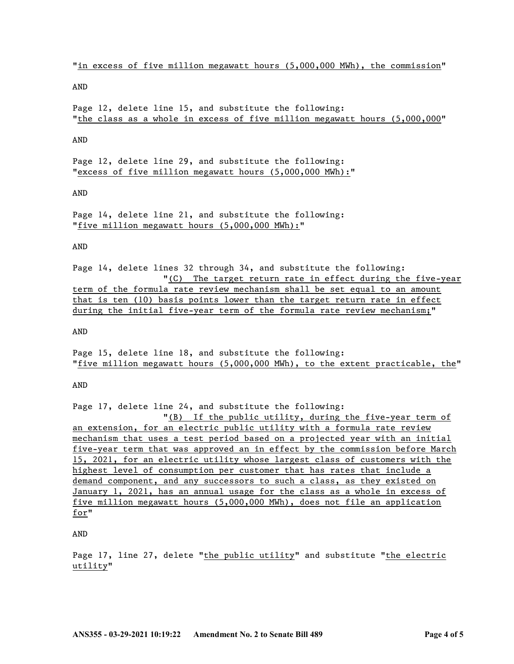"in excess of five million megawatt hours (5,000,000 MWh), the commission"

AND

Page 12, delete line 15, and substitute the following: "the class as a whole in excess of five million megawatt hours (5,000,000"

AND

Page 12, delete line 29, and substitute the following: "excess of five million megawatt hours (5,000,000 MWh):"

#### AND

Page 14, delete line 21, and substitute the following: "five million megawatt hours (5,000,000 MWh):"

#### AND

Page 14, delete lines 32 through 34, and substitute the following: "(C) The target return rate in effect during the five-year term of the formula rate review mechanism shall be set equal to an amount that is ten (10) basis points lower than the target return rate in effect during the initial five-year term of the formula rate review mechanism;"

AND

Page 15, delete line 18, and substitute the following: "five million megawatt hours (5,000,000 MWh), to the extent practicable, the"

AND

Page 17, delete line 24, and substitute the following:

"(B) If the public utility, during the five-year term of an extension, for an electric public utility with a formula rate review mechanism that uses a test period based on a projected year with an initial five-year term that was approved an in effect by the commission before March 15, 2021, for an electric utility whose largest class of customers with the highest level of consumption per customer that has rates that include a demand component, and any successors to such a class, as they existed on January 1, 2021, has an annual usage for the class as a whole in excess of five million megawatt hours (5,000,000 MWh), does not file an application for"

AND

Page 17, line 27, delete "the public utility" and substitute "the electric utility"